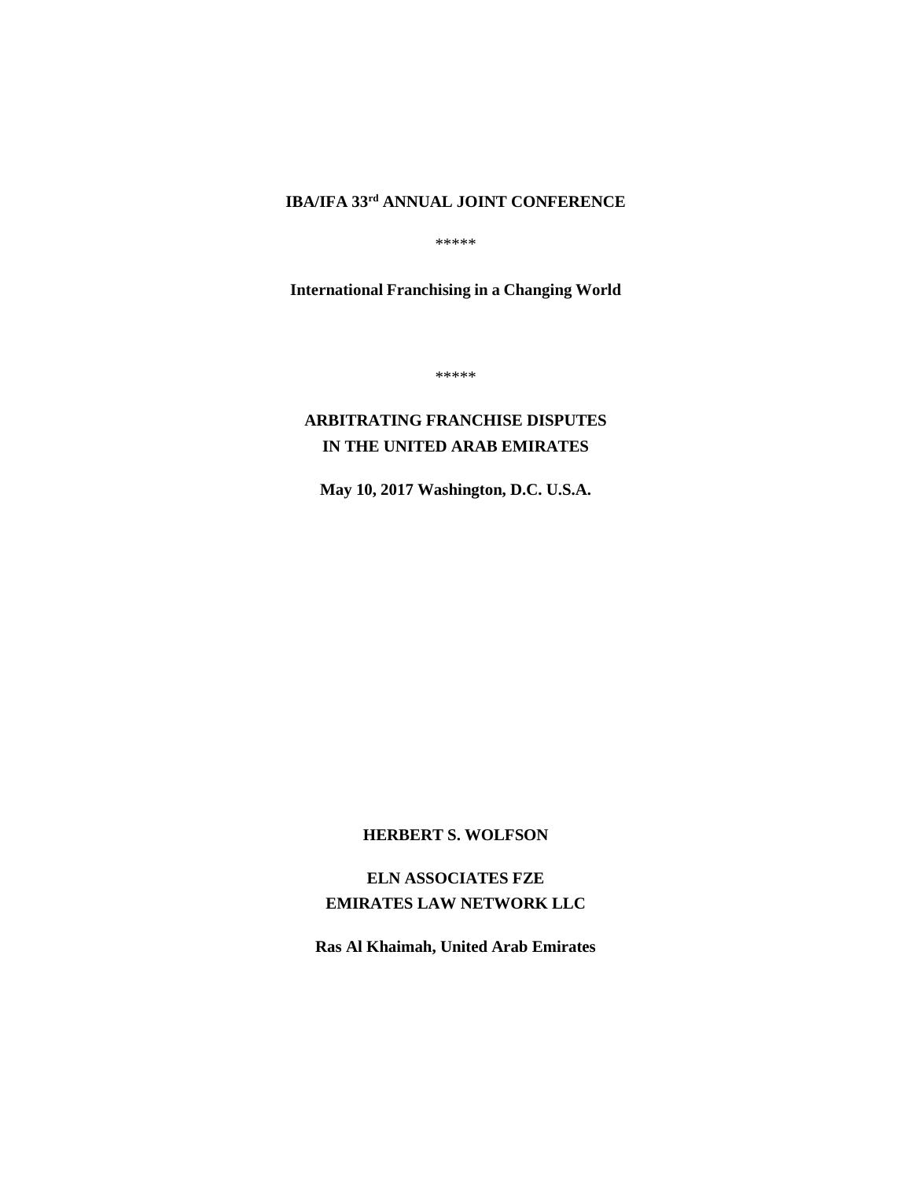# **IBA/IFA 33rd ANNUAL JOINT CONFERENCE**

\*\*\*\*\*

**International Franchising in a Changing World**

\*\*\*\*\*

## **ARBITRATING FRANCHISE DISPUTES IN THE UNITED ARAB EMIRATES**

**May 10, 2017 Washington, D.C. U.S.A.**

## **HERBERT S. WOLFSON**

**ELN ASSOCIATES FZE EMIRATES LAW NETWORK LLC**

**Ras Al Khaimah, United Arab Emirates**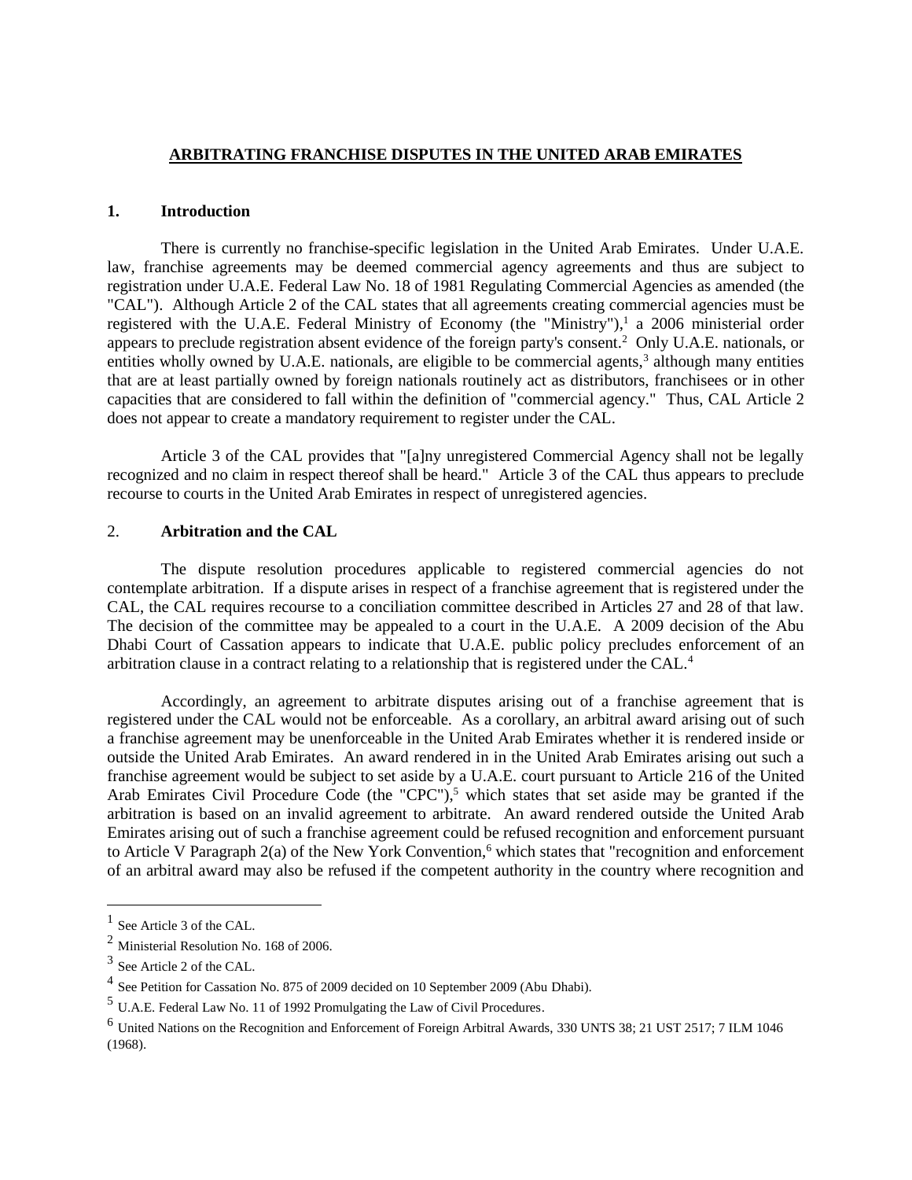#### **ARBITRATING FRANCHISE DISPUTES IN THE UNITED ARAB EMIRATES**

#### **1. Introduction**

There is currently no franchise-specific legislation in the United Arab Emirates. Under U.A.E. law, franchise agreements may be deemed commercial agency agreements and thus are subject to registration under U.A.E. Federal Law No. 18 of 1981 Regulating Commercial Agencies as amended (the "CAL"). Although Article 2 of the CAL states that all agreements creating commercial agencies must be registered with the U.A.E. Federal Ministry of Economy (the "Ministry"),<sup>1</sup> a 2006 ministerial order appears to preclude registration absent evidence of the foreign party's consent.<sup>2</sup> Only U.A.E. nationals, or entities wholly owned by U.A.E. nationals, are eligible to be commercial agents, $3$  although many entities that are at least partially owned by foreign nationals routinely act as distributors, franchisees or in other capacities that are considered to fall within the definition of "commercial agency." Thus, CAL Article 2 does not appear to create a mandatory requirement to register under the CAL.

Article 3 of the CAL provides that "[a]ny unregistered Commercial Agency shall not be legally recognized and no claim in respect thereof shall be heard." Article 3 of the CAL thus appears to preclude recourse to courts in the United Arab Emirates in respect of unregistered agencies.

## 2. **Arbitration and the CAL**

The dispute resolution procedures applicable to registered commercial agencies do not contemplate arbitration. If a dispute arises in respect of a franchise agreement that is registered under the CAL, the CAL requires recourse to a conciliation committee described in Articles 27 and 28 of that law. The decision of the committee may be appealed to a court in the U.A.E. A 2009 decision of the Abu Dhabi Court of Cassation appears to indicate that U.A.E. public policy precludes enforcement of an arbitration clause in a contract relating to a relationship that is registered under the CAL.<sup>4</sup>

Accordingly, an agreement to arbitrate disputes arising out of a franchise agreement that is registered under the CAL would not be enforceable. As a corollary, an arbitral award arising out of such a franchise agreement may be unenforceable in the United Arab Emirates whether it is rendered inside or outside the United Arab Emirates. An award rendered in in the United Arab Emirates arising out such a franchise agreement would be subject to set aside by a U.A.E. court pursuant to Article 216 of the United Arab Emirates Civil Procedure Code (the "CPC"),<sup>5</sup> which states that set aside may be granted if the arbitration is based on an invalid agreement to arbitrate. An award rendered outside the United Arab Emirates arising out of such a franchise agreement could be refused recognition and enforcement pursuant to Article V Paragraph 2(a) of the New York Convention,<sup>6</sup> which states that "recognition and enforcement of an arbitral award may also be refused if the competent authority in the country where recognition and

<sup>&</sup>lt;sup>1</sup> See Article 3 of the CAL.

<sup>2</sup> Ministerial Resolution No. 168 of 2006.

<sup>&</sup>lt;sup>3</sup> See Article 2 of the CAL.

<sup>&</sup>lt;sup>4</sup> See Petition for Cassation No. 875 of 2009 decided on 10 September 2009 (Abu Dhabi).

<sup>5</sup> U.A.E. Federal Law No. 11 of 1992 Promulgating the Law of Civil Procedures.

<sup>6</sup> United Nations on the Recognition and Enforcement of Foreign Arbitral Awards, 330 UNTS 38; 21 UST 2517; 7 ILM 1046 (1968).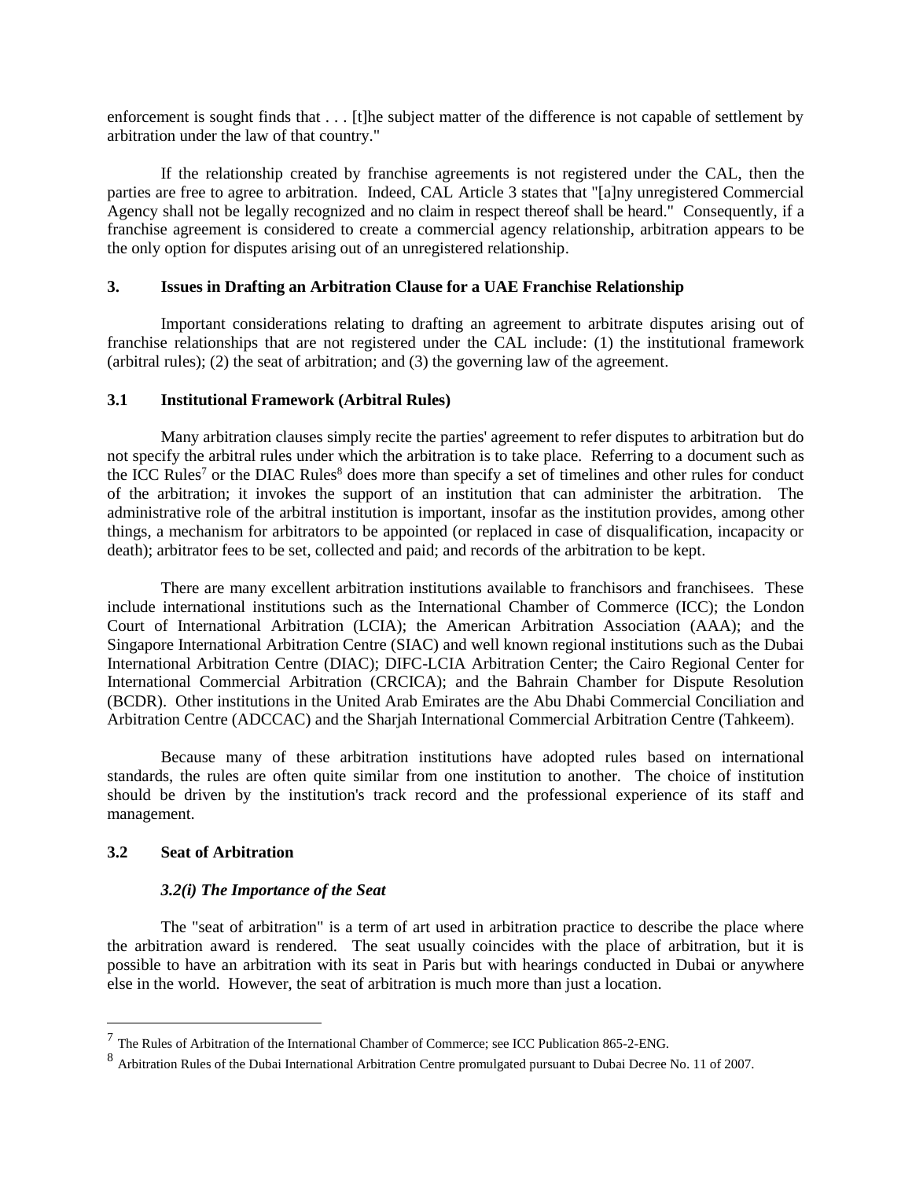enforcement is sought finds that . . . [t]he subject matter of the difference is not capable of settlement by arbitration under the law of that country."

If the relationship created by franchise agreements is not registered under the CAL, then the parties are free to agree to arbitration. Indeed, CAL Article 3 states that "[a]ny unregistered Commercial Agency shall not be legally recognized and no claim in respect thereof shall be heard." Consequently, if a franchise agreement is considered to create a commercial agency relationship, arbitration appears to be the only option for disputes arising out of an unregistered relationship.

## **3. Issues in Drafting an Arbitration Clause for a UAE Franchise Relationship**

Important considerations relating to drafting an agreement to arbitrate disputes arising out of franchise relationships that are not registered under the CAL include: (1) the institutional framework (arbitral rules); (2) the seat of arbitration; and (3) the governing law of the agreement.

#### **3.1 Institutional Framework (Arbitral Rules)**

Many arbitration clauses simply recite the parties' agreement to refer disputes to arbitration but do not specify the arbitral rules under which the arbitration is to take place. Referring to a document such as the ICC Rules<sup>7</sup> or the DIAC Rules<sup>8</sup> does more than specify a set of timelines and other rules for conduct of the arbitration; it invokes the support of an institution that can administer the arbitration. The administrative role of the arbitral institution is important, insofar as the institution provides, among other things, a mechanism for arbitrators to be appointed (or replaced in case of disqualification, incapacity or death); arbitrator fees to be set, collected and paid; and records of the arbitration to be kept.

There are many excellent arbitration institutions available to franchisors and franchisees. These include international institutions such as the International Chamber of Commerce (ICC); the London Court of International Arbitration (LCIA); the American Arbitration Association (AAA); and the Singapore International Arbitration Centre (SIAC) and well known regional institutions such as the Dubai International Arbitration Centre (DIAC); DIFC-LCIA Arbitration Center; the Cairo Regional Center for International Commercial Arbitration (CRCICA); and the Bahrain Chamber for Dispute Resolution (BCDR). Other institutions in the United Arab Emirates are the Abu Dhabi Commercial Conciliation and Arbitration Centre (ADCCAC) and the Sharjah International Commercial Arbitration Centre (Tahkeem).

Because many of these arbitration institutions have adopted rules based on international standards, the rules are often quite similar from one institution to another. The choice of institution should be driven by the institution's track record and the professional experience of its staff and management.

## **3.2 Seat of Arbitration**

 $\overline{a}$ 

## *3.2(i) The Importance of the Seat*

The "seat of arbitration" is a term of art used in arbitration practice to describe the place where the arbitration award is rendered. The seat usually coincides with the place of arbitration, but it is possible to have an arbitration with its seat in Paris but with hearings conducted in Dubai or anywhere else in the world. However, the seat of arbitration is much more than just a location.

 $<sup>7</sup>$  The Rules of Arbitration of the International Chamber of Commerce; see ICC Publication 865-2-ENG.</sup>

<sup>8</sup> Arbitration Rules of the Dubai International Arbitration Centre promulgated pursuant to Dubai Decree No. 11 of 2007.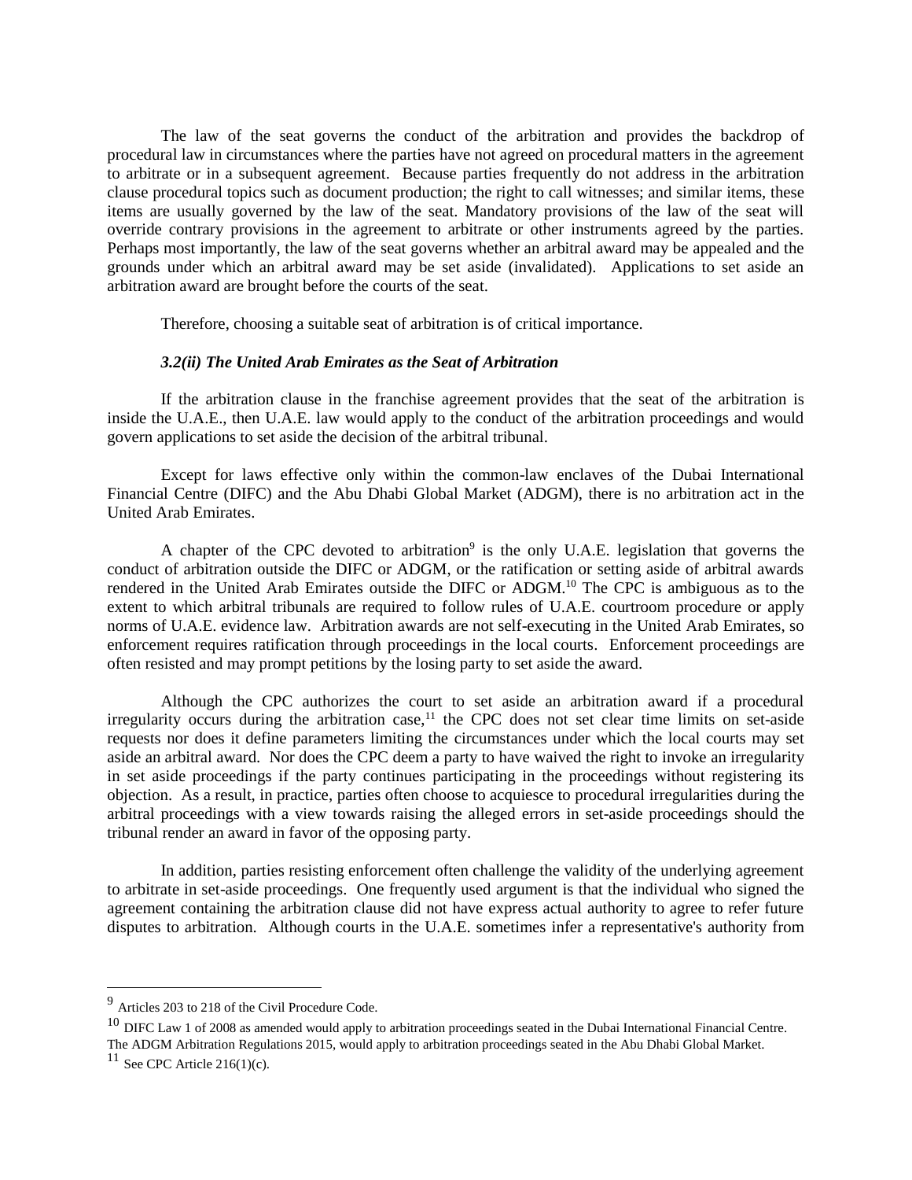The law of the seat governs the conduct of the arbitration and provides the backdrop of procedural law in circumstances where the parties have not agreed on procedural matters in the agreement to arbitrate or in a subsequent agreement. Because parties frequently do not address in the arbitration clause procedural topics such as document production; the right to call witnesses; and similar items, these items are usually governed by the law of the seat. Mandatory provisions of the law of the seat will override contrary provisions in the agreement to arbitrate or other instruments agreed by the parties. Perhaps most importantly, the law of the seat governs whether an arbitral award may be appealed and the grounds under which an arbitral award may be set aside (invalidated). Applications to set aside an arbitration award are brought before the courts of the seat.

Therefore, choosing a suitable seat of arbitration is of critical importance.

#### *3.2(ii) The United Arab Emirates as the Seat of Arbitration*

If the arbitration clause in the franchise agreement provides that the seat of the arbitration is inside the U.A.E., then U.A.E. law would apply to the conduct of the arbitration proceedings and would govern applications to set aside the decision of the arbitral tribunal.

Except for laws effective only within the common-law enclaves of the Dubai International Financial Centre (DIFC) and the Abu Dhabi Global Market (ADGM), there is no arbitration act in the United Arab Emirates.

A chapter of the CPC devoted to arbitration<sup>9</sup> is the only U.A.E. legislation that governs the conduct of arbitration outside the DIFC or ADGM, or the ratification or setting aside of arbitral awards rendered in the United Arab Emirates outside the DIFC or ADGM.<sup>10</sup> The CPC is ambiguous as to the extent to which arbitral tribunals are required to follow rules of U.A.E. courtroom procedure or apply norms of U.A.E. evidence law. Arbitration awards are not self-executing in the United Arab Emirates, so enforcement requires ratification through proceedings in the local courts. Enforcement proceedings are often resisted and may prompt petitions by the losing party to set aside the award.

Although the CPC authorizes the court to set aside an arbitration award if a procedural irregularity occurs during the arbitration case,<sup>11</sup> the CPC does not set clear time limits on set-aside requests nor does it define parameters limiting the circumstances under which the local courts may set aside an arbitral award. Nor does the CPC deem a party to have waived the right to invoke an irregularity in set aside proceedings if the party continues participating in the proceedings without registering its objection. As a result, in practice, parties often choose to acquiesce to procedural irregularities during the arbitral proceedings with a view towards raising the alleged errors in set-aside proceedings should the tribunal render an award in favor of the opposing party.

In addition, parties resisting enforcement often challenge the validity of the underlying agreement to arbitrate in set-aside proceedings. One frequently used argument is that the individual who signed the agreement containing the arbitration clause did not have express actual authority to agree to refer future disputes to arbitration. Although courts in the U.A.E. sometimes infer a representative's authority from

<sup>9</sup> Articles 203 to 218 of the Civil Procedure Code.

 $10$  DIFC Law 1 of 2008 as amended would apply to arbitration proceedings seated in the Dubai International Financial Centre. The ADGM Arbitration Regulations 2015, would apply to arbitration proceedings seated in the Abu Dhabi Global Market.

<sup>&</sup>lt;sup>11</sup> See CPC Article 216(1)(c).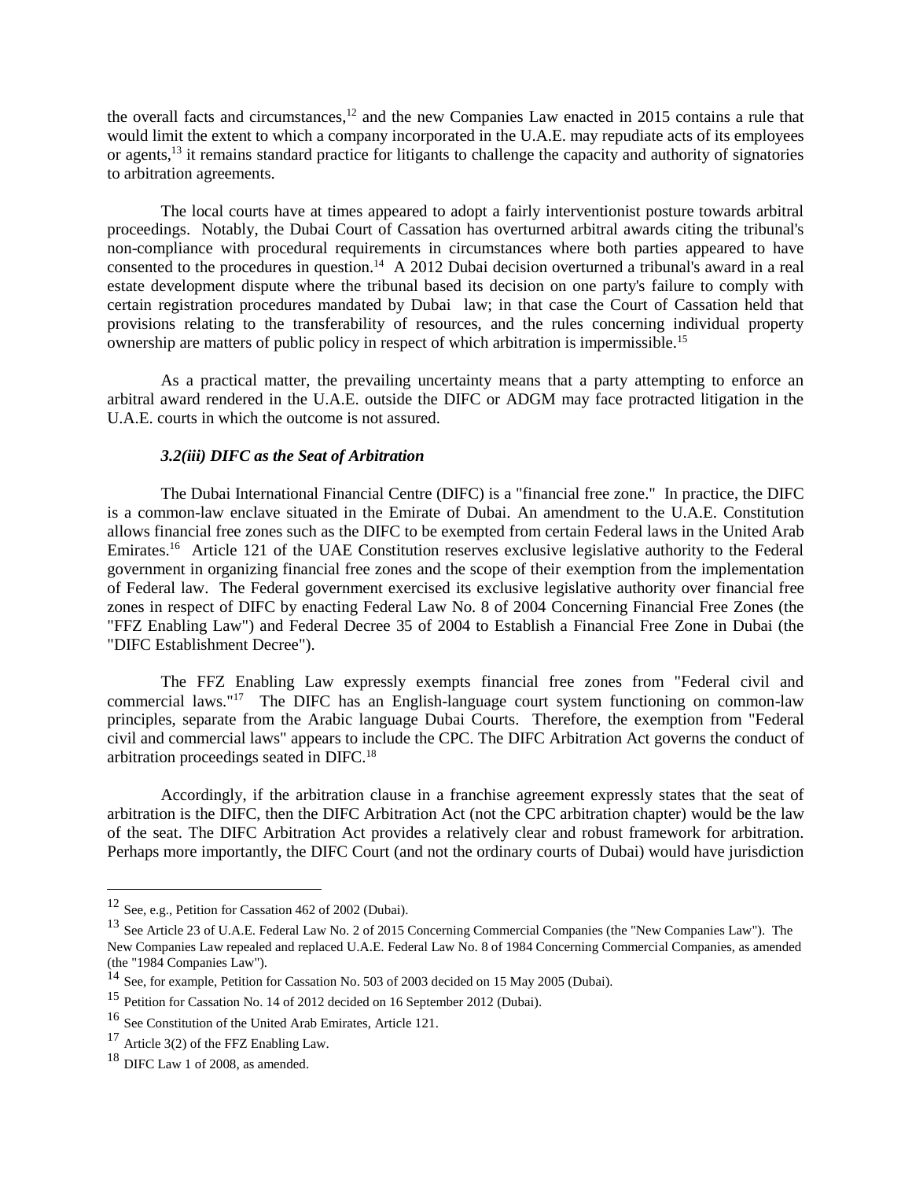the overall facts and circumstances,<sup>12</sup> and the new Companies Law enacted in 2015 contains a rule that would limit the extent to which a company incorporated in the U.A.E. may repudiate acts of its employees or agents,<sup>13</sup> it remains standard practice for litigants to challenge the capacity and authority of signatories to arbitration agreements.

The local courts have at times appeared to adopt a fairly interventionist posture towards arbitral proceedings. Notably, the Dubai Court of Cassation has overturned arbitral awards citing the tribunal's non-compliance with procedural requirements in circumstances where both parties appeared to have consented to the procedures in question.<sup>14</sup> A 2012 Dubai decision overturned a tribunal's award in a real estate development dispute where the tribunal based its decision on one party's failure to comply with certain registration procedures mandated by Dubai law; in that case the Court of Cassation held that provisions relating to the transferability of resources, and the rules concerning individual property ownership are matters of public policy in respect of which arbitration is impermissible.<sup>15</sup>

As a practical matter, the prevailing uncertainty means that a party attempting to enforce an arbitral award rendered in the U.A.E. outside the DIFC or ADGM may face protracted litigation in the U.A.E. courts in which the outcome is not assured.

#### *3.2(iii) DIFC as the Seat of Arbitration*

The Dubai International Financial Centre (DIFC) is a "financial free zone." In practice, the DIFC is a common-law enclave situated in the Emirate of Dubai. An amendment to the U.A.E. Constitution allows financial free zones such as the DIFC to be exempted from certain Federal laws in the United Arab Emirates.<sup>16</sup> Article 121 of the UAE Constitution reserves exclusive legislative authority to the Federal government in organizing financial free zones and the scope of their exemption from the implementation of Federal law. The Federal government exercised its exclusive legislative authority over financial free zones in respect of DIFC by enacting Federal Law No. 8 of 2004 Concerning Financial Free Zones (the "FFZ Enabling Law") and Federal Decree 35 of 2004 to Establish a Financial Free Zone in Dubai (the "DIFC Establishment Decree").

The FFZ Enabling Law expressly exempts financial free zones from "Federal civil and commercial laws."<sup>17</sup> The DIFC has an English-language court system functioning on common-law principles, separate from the Arabic language Dubai Courts. Therefore, the exemption from "Federal civil and commercial laws" appears to include the CPC. The DIFC Arbitration Act governs the conduct of arbitration proceedings seated in DIFC.<sup>18</sup>

Accordingly, if the arbitration clause in a franchise agreement expressly states that the seat of arbitration is the DIFC, then the DIFC Arbitration Act (not the CPC arbitration chapter) would be the law of the seat. The DIFC Arbitration Act provides a relatively clear and robust framework for arbitration. Perhaps more importantly, the DIFC Court (and not the ordinary courts of Dubai) would have jurisdiction

<sup>12</sup> See, e.g., Petition for Cassation 462 of 2002 (Dubai).

<sup>13</sup> See Article 23 of U.A.E. Federal Law No. 2 of 2015 Concerning Commercial Companies (the "New Companies Law"). The New Companies Law repealed and replaced U.A.E. Federal Law No. 8 of 1984 Concerning Commercial Companies, as amended (the "1984 Companies Law").

<sup>&</sup>lt;sup>14</sup> See, for example, Petition for Cassation No. 503 of 2003 decided on 15 May 2005 (Dubai).

<sup>15</sup> Petition for Cassation No. 14 of 2012 decided on 16 September 2012 (Dubai).

<sup>16</sup> See Constitution of the United Arab Emirates, Article 121.

<sup>&</sup>lt;sup>17</sup> Article 3(2) of the FFZ Enabling Law.

 $18$  DIFC Law 1 of 2008, as amended.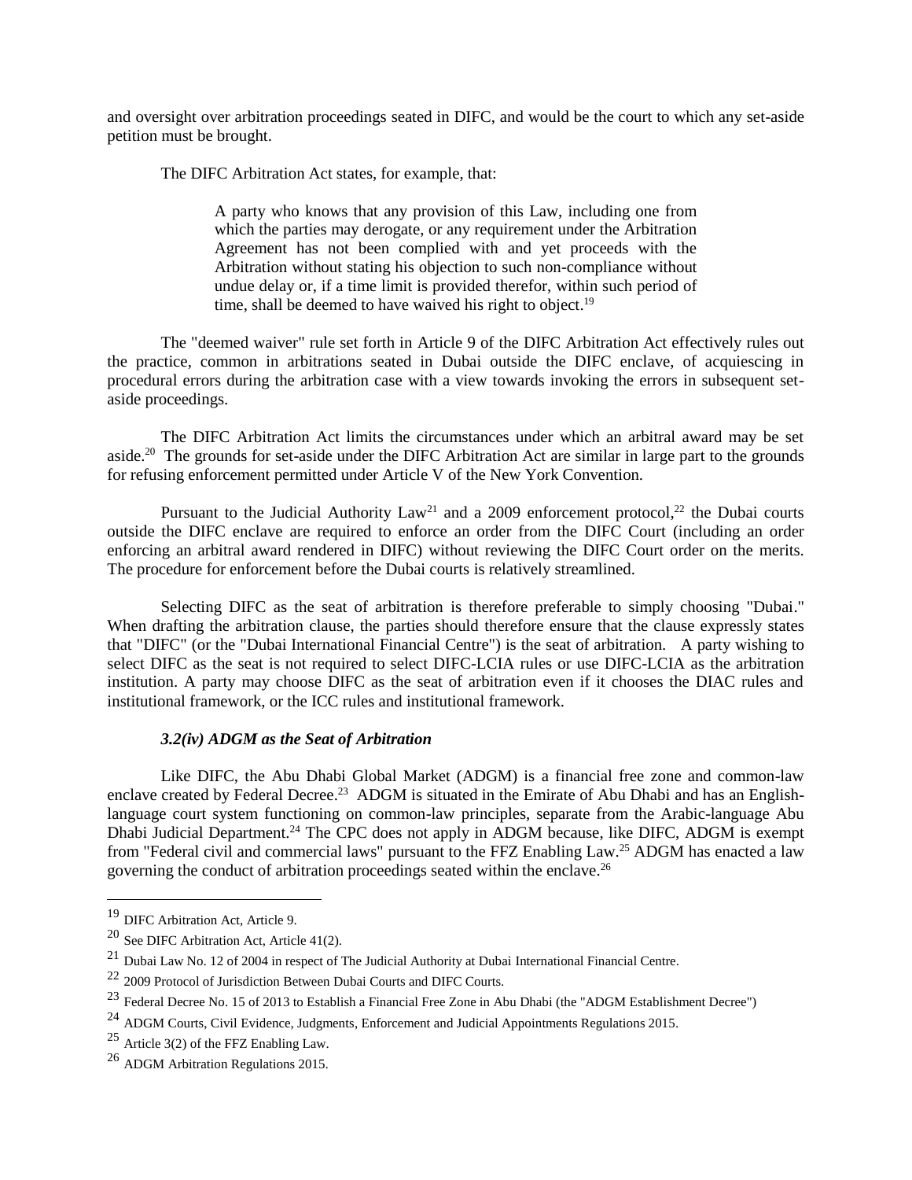and oversight over arbitration proceedings seated in DIFC, and would be the court to which any set-aside petition must be brought.

The DIFC Arbitration Act states, for example, that:

A party who knows that any provision of this Law, including one from which the parties may derogate, or any requirement under the Arbitration Agreement has not been complied with and yet proceeds with the Arbitration without stating his objection to such non-compliance without undue delay or, if a time limit is provided therefor, within such period of time, shall be deemed to have waived his right to object.<sup>19</sup>

The "deemed waiver" rule set forth in Article 9 of the DIFC Arbitration Act effectively rules out the practice, common in arbitrations seated in Dubai outside the DIFC enclave, of acquiescing in procedural errors during the arbitration case with a view towards invoking the errors in subsequent setaside proceedings.

The DIFC Arbitration Act limits the circumstances under which an arbitral award may be set aside.<sup>20</sup> The grounds for set-aside under the DIFC Arbitration Act are similar in large part to the grounds for refusing enforcement permitted under Article V of the New York Convention.

Pursuant to the Judicial Authority Law<sup>21</sup> and a 2009 enforcement protocol,<sup>22</sup> the Dubai courts outside the DIFC enclave are required to enforce an order from the DIFC Court (including an order enforcing an arbitral award rendered in DIFC) without reviewing the DIFC Court order on the merits. The procedure for enforcement before the Dubai courts is relatively streamlined.

Selecting DIFC as the seat of arbitration is therefore preferable to simply choosing "Dubai." When drafting the arbitration clause, the parties should therefore ensure that the clause expressly states that "DIFC" (or the "Dubai International Financial Centre") is the seat of arbitration. A party wishing to select DIFC as the seat is not required to select DIFC-LCIA rules or use DIFC-LCIA as the arbitration institution. A party may choose DIFC as the seat of arbitration even if it chooses the DIAC rules and institutional framework, or the ICC rules and institutional framework.

## *3.2(iv) ADGM as the Seat of Arbitration*

Like DIFC, the Abu Dhabi Global Market (ADGM) is a financial free zone and common-law enclave created by Federal Decree.<sup>23</sup> ADGM is situated in the Emirate of Abu Dhabi and has an Englishlanguage court system functioning on common-law principles, separate from the Arabic-language Abu Dhabi Judicial Department.<sup>24</sup> The CPC does not apply in ADGM because, like DIFC, ADGM is exempt from "Federal civil and commercial laws" pursuant to the FFZ Enabling Law.<sup>25</sup> ADGM has enacted a law governing the conduct of arbitration proceedings seated within the enclave. 26

<sup>&</sup>lt;sup>19</sup> DIFC Arbitration Act, Article 9.

<sup>20</sup> See DIFC Arbitration Act, Article 41(2).

<sup>&</sup>lt;sup>21</sup> Dubai Law No. 12 of 2004 in respect of The Judicial Authority at Dubai International Financial Centre.

<sup>&</sup>lt;sup>22</sup> 2009 Protocol of Jurisdiction Between Dubai Courts and DIFC Courts.

<sup>&</sup>lt;sup>23</sup> Federal Decree No. 15 of 2013 to Establish a Financial Free Zone in Abu Dhabi (the "ADGM Establishment Decree")

<sup>&</sup>lt;sup>24</sup> ADGM Courts, Civil Evidence, Judgments, Enforcement and Judicial Appointments Regulations 2015.

<sup>&</sup>lt;sup>25</sup> Article 3(2) of the FFZ Enabling Law.

<sup>26</sup> ADGM Arbitration Regulations 2015.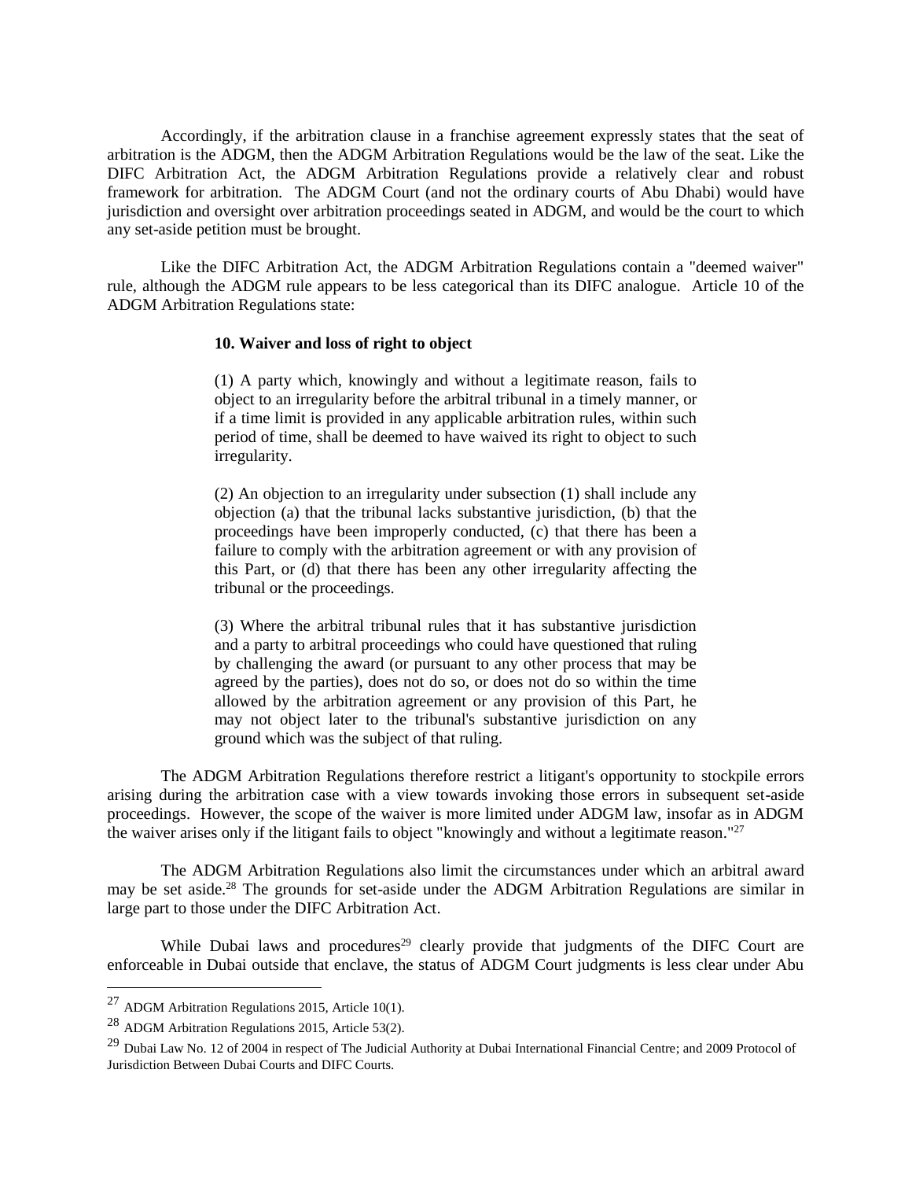Accordingly, if the arbitration clause in a franchise agreement expressly states that the seat of arbitration is the ADGM, then the ADGM Arbitration Regulations would be the law of the seat. Like the DIFC Arbitration Act, the ADGM Arbitration Regulations provide a relatively clear and robust framework for arbitration. The ADGM Court (and not the ordinary courts of Abu Dhabi) would have jurisdiction and oversight over arbitration proceedings seated in ADGM, and would be the court to which any set-aside petition must be brought.

Like the DIFC Arbitration Act, the ADGM Arbitration Regulations contain a "deemed waiver" rule, although the ADGM rule appears to be less categorical than its DIFC analogue. Article 10 of the ADGM Arbitration Regulations state:

## **10. Waiver and loss of right to object**

(1) A party which, knowingly and without a legitimate reason, fails to object to an irregularity before the arbitral tribunal in a timely manner, or if a time limit is provided in any applicable arbitration rules, within such period of time, shall be deemed to have waived its right to object to such irregularity.

(2) An objection to an irregularity under subsection (1) shall include any objection (a) that the tribunal lacks substantive jurisdiction, (b) that the proceedings have been improperly conducted, (c) that there has been a failure to comply with the arbitration agreement or with any provision of this Part, or (d) that there has been any other irregularity affecting the tribunal or the proceedings.

(3) Where the arbitral tribunal rules that it has substantive jurisdiction and a party to arbitral proceedings who could have questioned that ruling by challenging the award (or pursuant to any other process that may be agreed by the parties), does not do so, or does not do so within the time allowed by the arbitration agreement or any provision of this Part, he may not object later to the tribunal's substantive jurisdiction on any ground which was the subject of that ruling.

The ADGM Arbitration Regulations therefore restrict a litigant's opportunity to stockpile errors arising during the arbitration case with a view towards invoking those errors in subsequent set-aside proceedings. However, the scope of the waiver is more limited under ADGM law, insofar as in ADGM the waiver arises only if the litigant fails to object "knowingly and without a legitimate reason."<sup>27</sup>

The ADGM Arbitration Regulations also limit the circumstances under which an arbitral award may be set aside.<sup>28</sup> The grounds for set-aside under the ADGM Arbitration Regulations are similar in large part to those under the DIFC Arbitration Act.

While Dubai laws and procedures<sup>29</sup> clearly provide that judgments of the DIFC Court are enforceable in Dubai outside that enclave, the status of ADGM Court judgments is less clear under Abu

 $^{27}$  ADGM Arbitration Regulations 2015, Article 10(1).

<sup>28</sup> ADGM Arbitration Regulations 2015, Article 53(2).

<sup>&</sup>lt;sup>29</sup> Dubai Law No. 12 of 2004 in respect of The Judicial Authority at Dubai International Financial Centre; and 2009 Protocol of Jurisdiction Between Dubai Courts and DIFC Courts.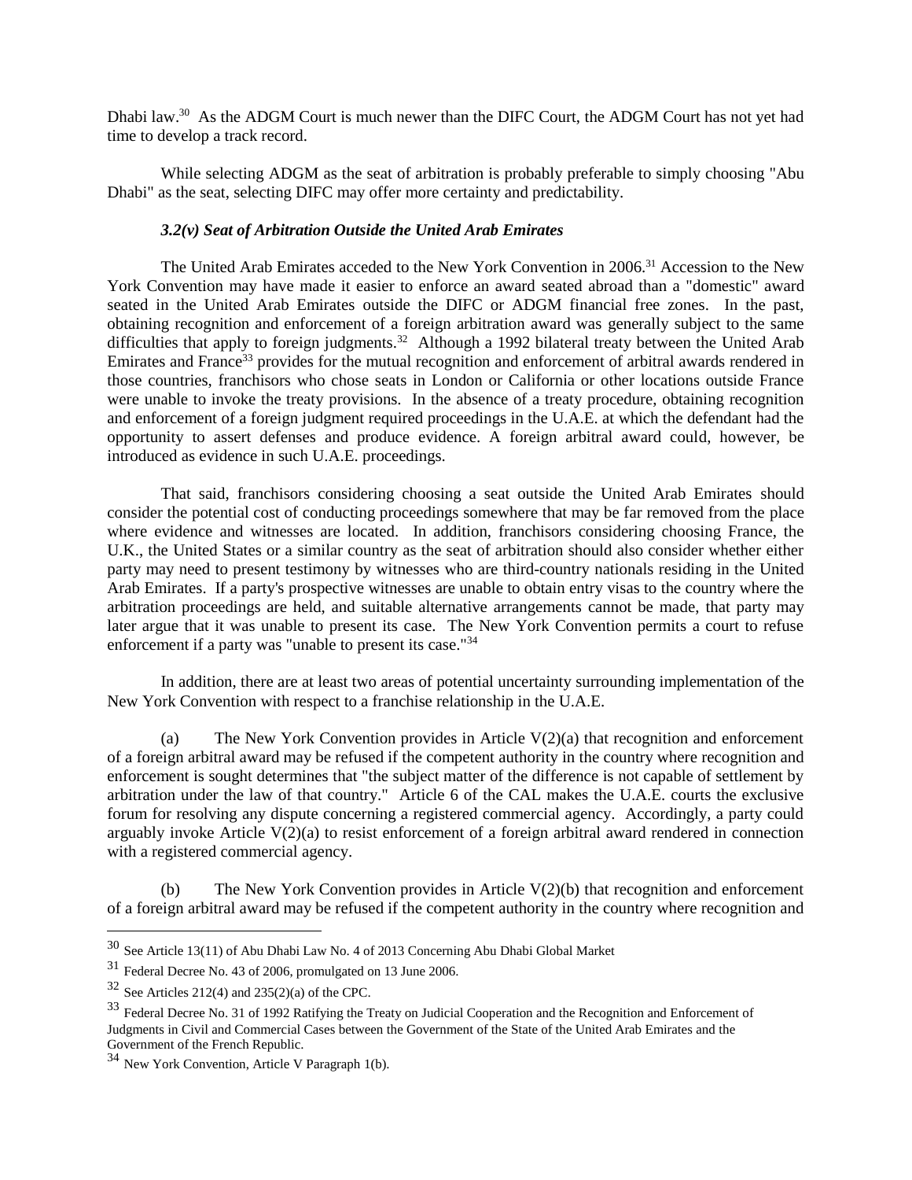Dhabi law.<sup>30</sup> As the ADGM Court is much newer than the DIFC Court, the ADGM Court has not yet had time to develop a track record.

While selecting ADGM as the seat of arbitration is probably preferable to simply choosing "Abu Dhabi" as the seat, selecting DIFC may offer more certainty and predictability.

## *3.2(v) Seat of Arbitration Outside the United Arab Emirates*

The United Arab Emirates acceded to the New York Convention in 2006.<sup>31</sup> Accession to the New York Convention may have made it easier to enforce an award seated abroad than a "domestic" award seated in the United Arab Emirates outside the DIFC or ADGM financial free zones. In the past, obtaining recognition and enforcement of a foreign arbitration award was generally subject to the same difficulties that apply to foreign judgments.<sup>32</sup> Although a 1992 bilateral treaty between the United Arab Emirates and France<sup>33</sup> provides for the mutual recognition and enforcement of arbitral awards rendered in those countries, franchisors who chose seats in London or California or other locations outside France were unable to invoke the treaty provisions. In the absence of a treaty procedure, obtaining recognition and enforcement of a foreign judgment required proceedings in the U.A.E. at which the defendant had the opportunity to assert defenses and produce evidence. A foreign arbitral award could, however, be introduced as evidence in such U.A.E. proceedings.

That said, franchisors considering choosing a seat outside the United Arab Emirates should consider the potential cost of conducting proceedings somewhere that may be far removed from the place where evidence and witnesses are located. In addition, franchisors considering choosing France, the U.K., the United States or a similar country as the seat of arbitration should also consider whether either party may need to present testimony by witnesses who are third-country nationals residing in the United Arab Emirates. If a party's prospective witnesses are unable to obtain entry visas to the country where the arbitration proceedings are held, and suitable alternative arrangements cannot be made, that party may later argue that it was unable to present its case. The New York Convention permits a court to refuse enforcement if a party was "unable to present its case."<sup>34</sup>

In addition, there are at least two areas of potential uncertainty surrounding implementation of the New York Convention with respect to a franchise relationship in the U.A.E.

(a) The New York Convention provides in Article V(2)(a) that recognition and enforcement of a foreign arbitral award may be refused if the competent authority in the country where recognition and enforcement is sought determines that "the subject matter of the difference is not capable of settlement by arbitration under the law of that country." Article 6 of the CAL makes the U.A.E. courts the exclusive forum for resolving any dispute concerning a registered commercial agency. Accordingly, a party could arguably invoke Article  $V(2)(a)$  to resist enforcement of a foreign arbitral award rendered in connection with a registered commercial agency.

(b) The New York Convention provides in Article V(2)(b) that recognition and enforcement of a foreign arbitral award may be refused if the competent authority in the country where recognition and

<sup>30</sup> See Article 13(11) of Abu Dhabi Law No. 4 of 2013 Concerning Abu Dhabi Global Market

<sup>31</sup> Federal Decree No. 43 of 2006, promulgated on 13 June 2006.

 $32$  See Articles 212(4) and 235(2)(a) of the CPC.

<sup>33</sup> Federal Decree No. 31 of 1992 Ratifying the Treaty on Judicial Cooperation and the Recognition and Enforcement of Judgments in Civil and Commercial Cases between the Government of the State of the United Arab Emirates and the Government of the French Republic.

<sup>34</sup> New York Convention, Article V Paragraph 1(b).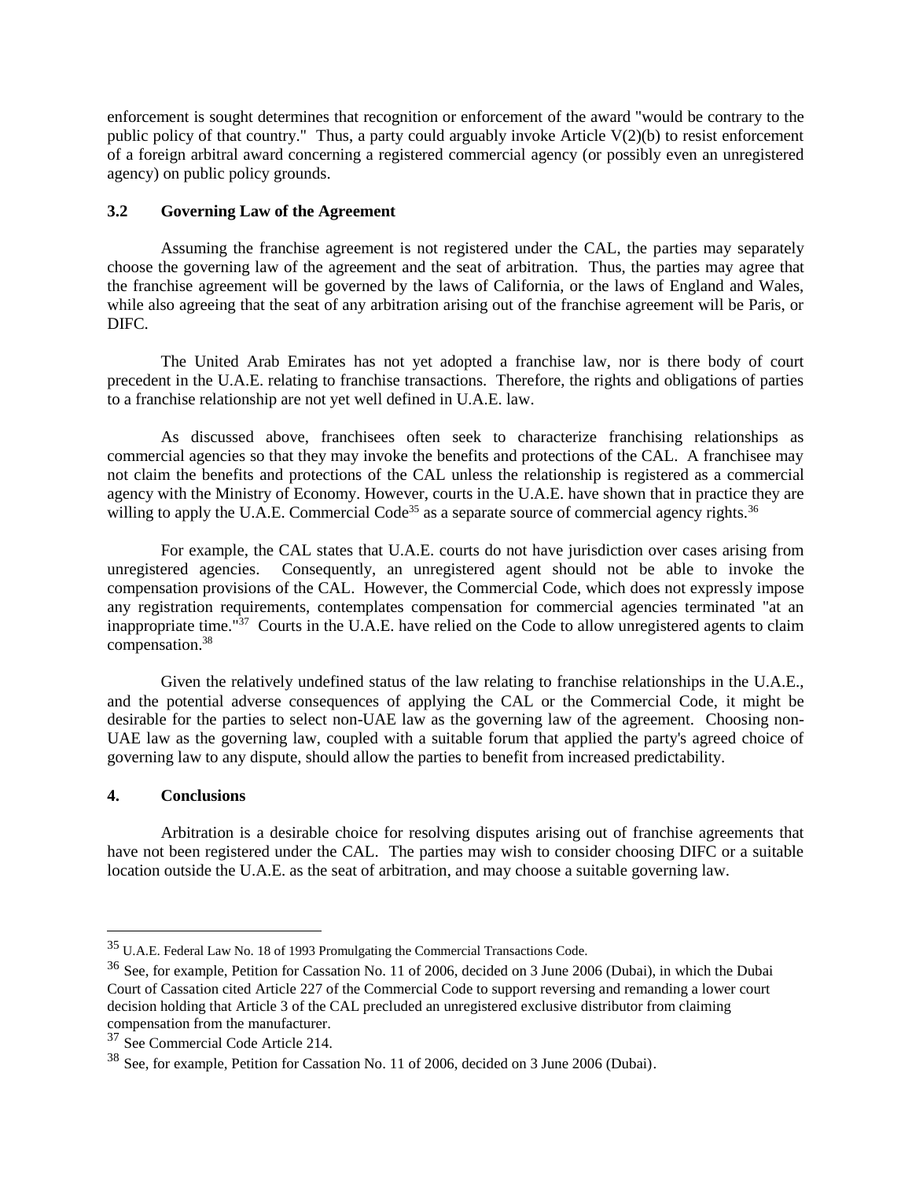enforcement is sought determines that recognition or enforcement of the award "would be contrary to the public policy of that country." Thus, a party could arguably invoke Article V(2)(b) to resist enforcement of a foreign arbitral award concerning a registered commercial agency (or possibly even an unregistered agency) on public policy grounds.

## **3.2 Governing Law of the Agreement**

Assuming the franchise agreement is not registered under the CAL, the parties may separately choose the governing law of the agreement and the seat of arbitration. Thus, the parties may agree that the franchise agreement will be governed by the laws of California, or the laws of England and Wales, while also agreeing that the seat of any arbitration arising out of the franchise agreement will be Paris, or DIFC.

The United Arab Emirates has not yet adopted a franchise law, nor is there body of court precedent in the U.A.E. relating to franchise transactions. Therefore, the rights and obligations of parties to a franchise relationship are not yet well defined in U.A.E. law.

As discussed above, franchisees often seek to characterize franchising relationships as commercial agencies so that they may invoke the benefits and protections of the CAL. A franchisee may not claim the benefits and protections of the CAL unless the relationship is registered as a commercial agency with the Ministry of Economy. However, courts in the U.A.E. have shown that in practice they are willing to apply the U.A.E. Commercial Code<sup>35</sup> as a separate source of commercial agency rights.<sup>36</sup>

 For example, the CAL states that U.A.E. courts do not have jurisdiction over cases arising from unregistered agencies. Consequently, an unregistered agent should not be able to invoke the compensation provisions of the CAL. However, the Commercial Code, which does not expressly impose any registration requirements, contemplates compensation for commercial agencies terminated "at an inappropriate time."<sup>37</sup> Courts in the U.A.E. have relied on the Code to allow unregistered agents to claim compensation.<sup>38</sup>

Given the relatively undefined status of the law relating to franchise relationships in the U.A.E., and the potential adverse consequences of applying the CAL or the Commercial Code, it might be desirable for the parties to select non-UAE law as the governing law of the agreement. Choosing non-UAE law as the governing law, coupled with a suitable forum that applied the party's agreed choice of governing law to any dispute, should allow the parties to benefit from increased predictability.

## **4. Conclusions**

 $\overline{a}$ 

Arbitration is a desirable choice for resolving disputes arising out of franchise agreements that have not been registered under the CAL. The parties may wish to consider choosing DIFC or a suitable location outside the U.A.E. as the seat of arbitration, and may choose a suitable governing law.

<sup>35</sup> U.A.E. Federal Law No. 18 of 1993 Promulgating the Commercial Transactions Code.

<sup>36</sup> See, for example, Petition for Cassation No. 11 of 2006, decided on 3 June 2006 (Dubai), in which the Dubai Court of Cassation cited Article 227 of the Commercial Code to support reversing and remanding a lower court decision holding that Article 3 of the CAL precluded an unregistered exclusive distributor from claiming compensation from the manufacturer.

<sup>37</sup> See Commercial Code Article 214.

<sup>38</sup> See, for example, Petition for Cassation No. 11 of 2006, decided on 3 June 2006 (Dubai).